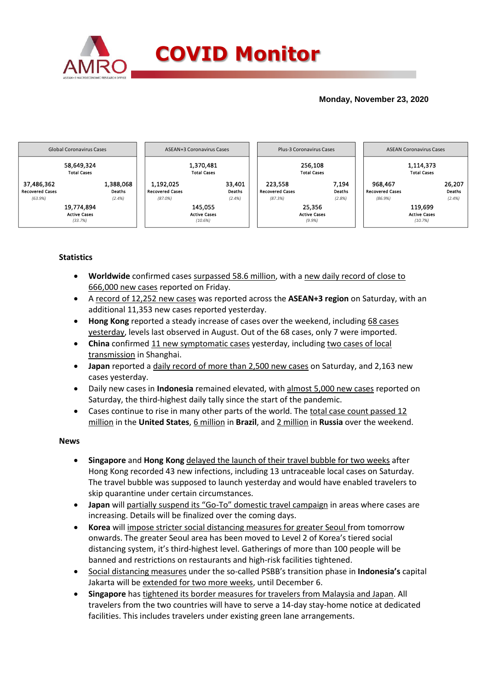

## **Monday, November 23, 2020**



## **Statistics**

- **Worldwide** confirmed cases surpassed 58.6 million, with a new daily record of close to 666,000 new cases reported on Friday.
- A record of 12,252 new cases was reported across the **ASEAN+3 region** on Saturday, with an additional 11,353 new cases reported yesterday.
- **Hong Kong** reported a steady increase of cases over the weekend, including 68 cases yesterday, levels last observed in August. Out of the 68 cases, only 7 were imported.
- **China** confirmed 11 new symptomatic cases yesterday, including two cases of local transmission in Shanghai.
- **Japan** reported a daily record of more than 2,500 new cases on Saturday, and 2,163 new cases yesterday.
- Daily new cases in **Indonesia** remained elevated, with almost 5,000 new cases reported on Saturday, the third-highest daily tally since the start of the pandemic.
- Cases continue to rise in many other parts of the world. The total case count passed 12 million in the **United States**, 6 million in **Brazil**, and 2 million in **Russia** over the weekend.

### **News**

- **Singapore** and **Hong Kong** delayed the launch of their travel bubble for two weeks after Hong Kong recorded 43 new infections, including 13 untraceable local cases on Saturday. The travel bubble was supposed to launch yesterday and would have enabled travelers to skip quarantine under certain circumstances.
- **Japan** will partially suspend its "Go-To" domestic travel campaign in areas where cases are increasing. Details will be finalized over the coming days.
- **Korea** will impose stricter social distancing measures for greater Seoul from tomorrow onwards. The greater Seoul area has been moved to Level 2 of Korea's tiered social distancing system, it's third-highest level. Gatherings of more than 100 people will be banned and restrictions on restaurants and high-risk facilities tightened.
- Social distancing measures under the so-called PSBB's transition phase in **Indonesia's** capital Jakarta will be extended for two more weeks, until December 6.
- **Singapore** has tightened its border measures for travelers from Malaysia and Japan. All travelers from the two countries will have to serve a 14-day stay-home notice at dedicated facilities. This includes travelers under existing green lane arrangements.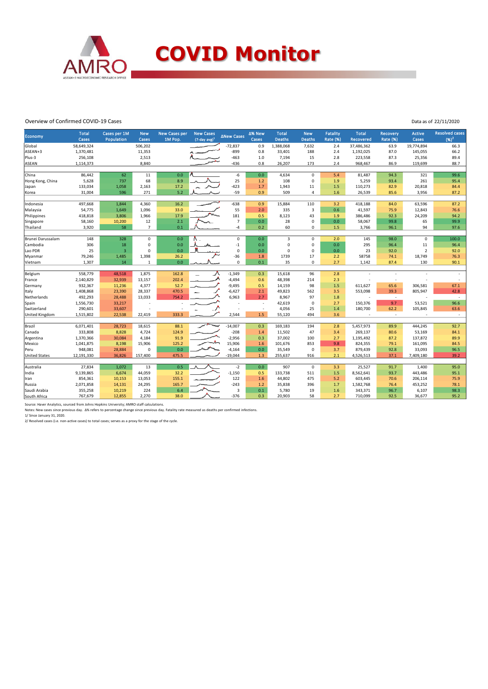

#### Overview of Confirmed COVID-19 Cases

Data as of 22/11/2020

| Economy              | <b>Total</b> | Cases per 1M   | <b>New</b>     | <b>New Cases per</b> | <b>New Cases</b>    | <b>ANew Cases</b> | ∆% New  | <b>Total</b>  | <b>New</b>     | Fatality        | <b>Total</b>     | <b>Recovery</b> | <b>Active</b> | <b>Resolved cases</b> |
|----------------------|--------------|----------------|----------------|----------------------|---------------------|-------------------|---------|---------------|----------------|-----------------|------------------|-----------------|---------------|-----------------------|
|                      | <b>Cases</b> | Population     | Cases          | 1M Pop.              | $(7$ -day avg $)^1$ |                   | Cases   | <b>Deaths</b> | <b>Deaths</b>  | <b>Rate (%)</b> | <b>Recovered</b> | <b>Rate (%)</b> | Cases         | $(96)^2$              |
| Global               | 58,649,324   |                | 506,202        |                      |                     | $-72,837$         | 0.9     | 1,388,068     | 7,632          | 2.4             | 37,486,362       | 63.9            | 19,774,894    | 66.3                  |
| ASEAN+3              | 1,370,481    |                | 11,353         |                      |                     | $-899$            | 0.8     | 33,401        | 188            | 2.4             | 1,192,025        | 87.0            | 145,055       | 66.2                  |
| Plus-3               | 256,108      |                | 2,513          |                      |                     | $-463$            | 1.0     | 7,194         | 15             | 2.8             | 223,558          | 87.3            | 25,356        | 89.4                  |
| <b>ASEAN</b>         | 1,114,373    |                | 8,840          |                      |                     | $-436$            | 0.8     | 26,207        | 173            | 2.4             | 968,467          | 86.9            | 119,699       | 88.7                  |
|                      |              |                |                |                      |                     |                   |         |               |                |                 |                  |                 |               |                       |
| China                | 86,442       | 62             | 11             | 0.0                  |                     | $-6$              | 0.0     | 4,634         | $\mathbf 0$    | 5.4             | 81,487           | 94.3            | 321           | 99.6                  |
| Hong Kong, China     | 5,628        | 737            | 68             | 8.9                  |                     | 25                | 1.2     | 108           | 0              | 1.9             | 5,259            | 93.4            | 261           | 95.4                  |
| Japan                | 133,034      | 1,058          | 2,163          | 17.2                 |                     | $-423$            | $1.7\,$ | 1,943         | 11             | 1.5             | 110,273          | 82.9            | 20,818        | 84.4                  |
| Korea                | 31,004       | 596            | 271            | 5.2                  |                     | $-59$             | 0.9     | 509           | $\overline{a}$ | 1.6             | 26,539           | 85.6            | 3,956         | 87.2                  |
|                      |              |                |                |                      |                     |                   |         |               |                |                 |                  |                 |               |                       |
| Indonesia            | 497,668      | 1,844          | 4,360          | 16.2                 |                     | $-638$            | 0.9     | 15,884        | 110            | 3.2             | 418,188          | 84.0            | 63,596        | 87.2                  |
| Malaysia             | 54,775       | 1,649          | 1,096          | 33.0                 |                     | 55                | 2.0     | 335           | $\overline{3}$ | 0.6             | 41,597           | 75.9            | 12,843        | 76.6                  |
| Philippines          | 418,818      | 3,806          | 1,966          | 17.9                 |                     | 181               | 0.5     | 8,123         | 43             | 1.9             | 386,486          | 92.3            | 24,209        | 94.2                  |
| Singapore            | 58,160       | 10,200         | 12             | 2.1                  |                     | $\overline{7}$    | $0.0\,$ | 28            | $\mathbf 0$    | 0.0             | 58,067           | 99.8            | 65            | 99.9                  |
| Thailand             | 3,920        | 58             | $\overline{7}$ | 0.1                  |                     | $-4$              | 0.2     | 60            | 0              | 1.5             | 3,766            | 96.1            | 94            | 97.6                  |
| Brunei Darussalam    | 148          | 328            | $\mathbf 0$    | 0.0                  |                     | $\mathbf 0$       | 0.0     | 3             | $\mathbf 0$    | 2.0             | 145              | 98.0            | $\mathbf 0$   | 100.0                 |
| Cambodia             | 306          | 18             | $\Omega$       | 0.0                  |                     | $\mathbf{-1}$     | 0.0     | $\mathbf 0$   | 0              | 0.0             | 295              | 96.4            | 11            | 96.4                  |
| Lao PDR              | 25           | $\overline{3}$ | $\Omega$       | 0.0                  |                     | $\mathbf 0$       | 0.0     | $\Omega$      | $\mathbf 0$    | 0.0             | 23               | 92.0            | $\mathbf 2$   | 92.0                  |
| Myanmar              | 79,246       | 1,485          | 1,398          | 26.2                 |                     | $-36$             | 1.8     | 1739          | 17             | 2.2             | 58758            | 74.1            | 18,749        | 76.3                  |
| Vietnam              | 1,307        | 14             | $\mathbf{1}$   | 0.0                  |                     | $\mathbf 0$       | 0.1     | 35            | 0              | 2.7             | 1,142            | 87.4            | 130           | 90.1                  |
|                      |              |                |                |                      |                     |                   |         |               |                |                 |                  |                 |               |                       |
| Belgium              | 558,779      | 48,518         | 1,875          | 162.8                |                     | $-1,349$          | 0.3     | 15,618        | 96             | 2.8             |                  |                 |               |                       |
| France               | 2,140,829    | 32,939         | 13,157         | 202.4                |                     | $-4,494$          | 0.6     | 48,398        | 214            | 2.3             |                  |                 |               |                       |
| Germany              | 932,367      | 11,236         | 4,377          | 52.7                 |                     | $-9,495$          | 0.5     | 14,159        | 98             | 1.5             | 611,627          | 65.6            | 306,581       | 67.1                  |
| Italy                | 1,408,868    | 23,390         | 28,337         | 470.5                |                     | $-6,427$          | 2.1     | 49,823        | 562            | 3.5             | 553,098          | 39.3            | 805,947       | 42.8                  |
| Netherlands          | 492,293      | 28,488         | 13,033         | 754.2                |                     | 6,963             | 2.7     | 8,967         | 97             | 1.8             | ÷,               | $\sim$          |               | $\sim$                |
| Spain                | 1,556,730    | 33,217         |                |                      |                     |                   |         | 42,619        | $\mathbf 0$    | 2.7             | 150,376          | 9.7             | 53,521        | 96.6                  |
| Switzerland          | 290,601      | 33,607         |                |                      |                     |                   |         | 4,056         | 25             | 1.4             | 180,700          | 62.2            | 105,845       | 63.6                  |
| United Kingdom       | 1,515,802    | 22,538         | 22,419         | 333.3                |                     | 2,544             | 1.5     | 55,120        | 494            | 3.6             |                  | $\sim$          |               | $\sim$                |
|                      |              |                |                |                      |                     |                   |         |               |                |                 |                  |                 |               |                       |
| Brazil               | 6,071,401    | 28,723         | 18,615         | 88.1                 | mw                  | $-14,007$         | 0.3     | 169,183       | 194            | 2.8             | 5,457,973        | 89.9            | 444,245       | 92.7                  |
| Canada               | 333,808      | 8,828          | 4,724          | 124.9                |                     | $-208$            | 1.4     | 11,502        | 47             | 3.4             | 269,137          | 80.6            | 53,169        | 84.1                  |
| Argentina            | 1,370,366    | 30,084         | 4,184          | 91.9                 |                     | $-2,956$          | 0.3     | 37,002        | 100            | 2.7             | 1,195,492        | 87.2            | 137,872       | 89.9                  |
| Mexico               | 1,041,875    | 8,198          | 15,906         | 125.2                |                     | 15,906            | 1.6     | 101,676       | 853            | 9.8             | 824,355          | 79.1            | 161,095       | 84.5                  |
| Peru                 | 948,081      | 28,884         | $\mathbf 0$    | 0.0                  |                     | $-4,164$          | 0.0     | 35,549        | $\mathbf 0$    | 3.7             | 879,439          | 92.8            | 33,093        | 96.5                  |
| <b>United States</b> | 12,191,330   | 36,826         | 157,400        | 475.5                |                     | $-19,044$         | 1.3     | 255,637       | 916            | 2.1             | 4,526,513        | 37.1            | 7,409,180     | 39.2                  |
|                      |              |                |                |                      |                     |                   |         |               |                |                 |                  |                 |               |                       |
| Australia            | 27,834       | 1,072          | 13             | 0.5                  |                     | $-2$              | 0.0     | 907           | $\mathbf 0$    | 3.3             | 25,527           | 91.7            | 1,400         | 95.0                  |
| India                | 9,139,865    | 6,674          | 44,059         | 32.2                 |                     | $-1,150$          | 0.5     | 133,738       | 511            | 1.5             | 8,562,641        | 93.7            | 443,486       | 95.1                  |
| Iran                 | 854,361      | 10,153         | 13,053         | 155.1                |                     | 122               | 1.6     | 44,802        | 475            | 5.2             | 603,445          | 70.6            | 206,114       | 75.9                  |
| Russia               | 2,071,858    | 14,131         | 24,295         | 165.7                |                     | $-243$            | 1.2     | 35,838        | 396            | 1.7             | 1,582,768        | 76.4            | 453,252       | 78.1                  |
| Saudi Arabia         | 355,258      | 10,219         | 224            | 6.4                  |                     | $\overline{3}$    | 0.1     | 5,780         | 19             | 1.6             | 343,371          | 96.7            | 6,107         | 98.3                  |
| South Africa         | 767,679      | 12,855         | 2,270          | 38.0                 |                     | $-376$            | 0.3     | 20,903        | 58             | 2.7             | 710,099          | 92.5            | 36,677        | 95.2                  |

Source: Haver Analytics, sourced from Johns Hopkins University; AMRO staff calculations.<br>Notes: New cases since previous day. ∆% refers to percentage change since previous day. Fatality rate measured as deaths per confirme